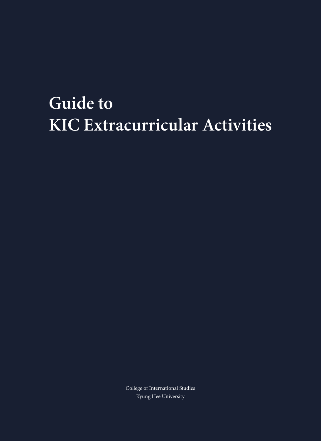# **Guide to KIC Extracurricular Activities**

College of International Studies Kyung Hee University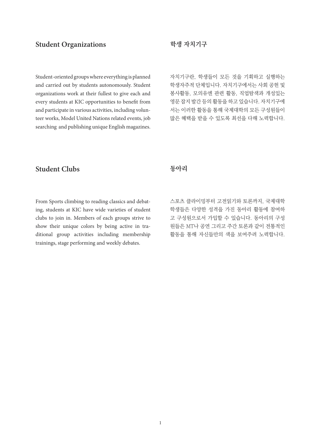# **Student Organizations 학생 자치기구**

Student-oriented groups where everything is planned and carried out by students autonomously. Student organizations work at their fullest to give each and every students at KIC opportunities to benefit from and participate in various activities, including volunteer works, Model United Nations related events, job searching and publishing unique English magazines.

자치기구란, 학생들이 모든 것을 기획하고 실행하는 학생자주적 단체입니다. 자치기구에서는 사회 공헌 및 봉사활동, 모의유엔 관련 활동, 직업탐색과 개성있는 영문 잡지 발간 등의 활동을 하고 있습니다. 자치기구에 서는 이러한 활동을 통해 국제대학의 모든 구성원들이 많은 혜택을 받을 수 있도록 최선을 다해 노력합니다.

# **Student Clubs 동아리**

From Sports climbing to reading classics and debating, students at KIC have wide varieties of student clubs to join in. Members of each groups strive to show their unique colors by being active in traditional group activities including membership trainings, stage performing and weekly debates.

스포츠 클라이밍부터 고전읽기와 토론까지, 국제대학 학생들은 다양한 성격을 가진 동아리 활동에 참여하 고 구성원으로서 가입할 수 있습니다. 동아리의 구성 원들은 MT나 공연 그리고 주간 토론과 같이 전통적인 활동을 통해 자신들만의 색을 보여주려 노력합니다.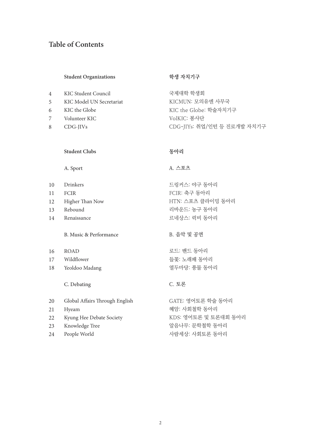# **Table of Contents**

#### **student Organizations**

| $\overline{4}$ | KIC Student Council      | 국제대학 학     |
|----------------|--------------------------|------------|
| 5              | KIC Model UN Secretariat | KICMUN: 1  |
| 6              | KIC the Globe            | KIC the Gl |

- Volunteer KIC 7
- CDG-JIVs 8

#### **학생 자치기구**

생회 모의유엔 사무국 obe: 학술자치기구 VolKIC: 봉사단 CDG-JIYs: 취업/인턴 등 진로개발 자치기구

#### **동아리**

### A. Sport

**Student Clubs**

Drinkers FCIR Higher Than Now Rebound Renaissance 10 11 12 13 14 드링커스: 야구 동아리 FCIR: 축구 동아리 리바운드: 농구 동아리 르네상스: 럭비 동아리

# B. Music & Performance

- ROAD 16
- Wildflower 17
- Yeoldoo Madang 18

#### C. Debating

Global Affairs Through English Hyeam Kyung Hee Debate Society Knowledge Tree People World 20 21 22 23 24 GATE: 영어토론 학술 동아리 혜암: 사회철학 동아리 알음나무: 문학철학 동아리 사람세상: 사회토론 동아리

# A. 스포츠

HTN: 스포츠 클라이밍 동아리

#### B. 음악 및 공연

로드: 밴드 동아리 들꽃: 노래패 동아리 열두마당: 풍물 동아리

### C. 토론

KDS: 영어토론 및 토론대회 동아리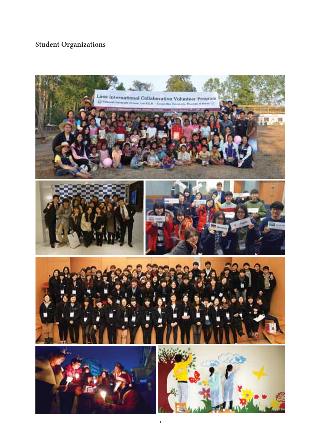# **Student Organizations**

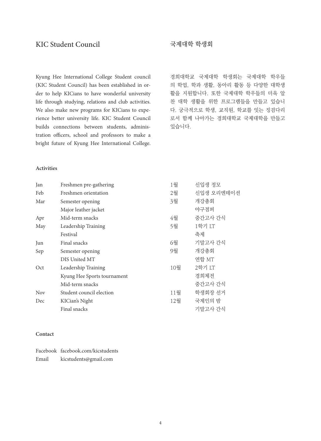# KIC Student Council 국제대학 학생회

Kyung Hee International College Student council (KIC Student Council) has been established in order to help KICians to have wonderful university life through studying, relations and club activities. We also make new programs for KICians to experience better university life. KIC Student Council builds connections between students, administration officers, school and professors to make a bright future of Kyung Hee International College. 경희대학교 국제대학 학생회는 국제대학 학우들 의 학업, 학과 생활, 동아리 활동 등 다양한 대학생 활을 지원합니다. 또한 국제대학 학우들의 더욱 알 찬 대학 생활을 위한 프로그램들을 만들고 있습니 다. 궁극적으로 학생, 교직원, 학교를 잇는 징검다리 로서 함께 나아가는 경희대학교 국제대학을 만들고 있습니다.

#### **Activities**

| Jan        | Freshmen pre-gathering      | 1월  | 신입생 정모     |
|------------|-----------------------------|-----|------------|
| Feb        | Freshmen orientation        | 2월  | 신입생 오리엔테이션 |
| Mar        | Semester opening            | 3월  | 개강총회       |
|            | Major leather jacket        |     | 야구점퍼       |
| Apr        | Mid-term snacks             | 4월  | 중간고사 간식    |
| May        | Leadership Training         | 5월  | 1학기 LT     |
|            | Festival                    |     | 축제         |
| Jun        | Final snacks                | 6월  | 기말고사 가식    |
| Sep        | Semester opening            | 9월  | 개강총회       |
|            | DIS United MT               |     | 연합 MT      |
| Oct        | Leadership Training         | 10월 | 2학기 LT     |
|            | Kyung Hee Sports tournament |     | 경희체전       |
|            | Mid-term snacks             |     | 중간고사 간식    |
| <b>Nov</b> | Student council election    | 11월 | 학생회장 선거    |
| Dec        | KICian's Night              | 12월 | 국제인의 밤     |
|            | Final snacks                |     | 기말고사 간식    |

#### **Contact**

|       | Facebook facebook.com/kicstudents |
|-------|-----------------------------------|
| Email | kicstudents@gmail.com             |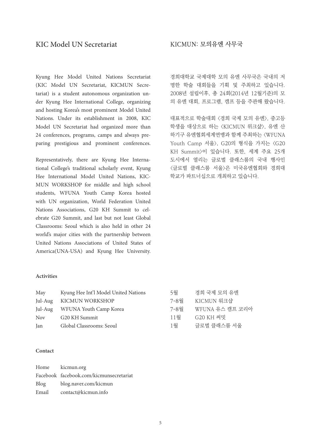# KIC Model UN Secretariat

Kyung Hee Model United Nations Secretariat (KIC Model UN Secretariat, KICMUN Secretariat) is a student autonomous organization under Kyung Hee International College, organizing and hosting Korea's most prominent Model United Nations. Under its establishment in 2008, KIC Model UN Secretariat had organized more than 24 conferences, programs, camps and always preparing prestigious and prominent conferences.

Representatively, there are Kyung Hee International College's traditional scholarly event, Kyung Hee International Model United Nations, KIC-MUN WORKSHOP for middle and high school students, WFUNA Youth Camp Korea hosted with UN organization, World Federation United Nations Associations, G20 KH Summit to celebrate G20 Summit, and last but not least Global Classrooms: Seoul which is also held in other 24 world's major cities with the partnership between United Nations Associations of United States of America(UNA-USA) and Kyung Hee University.

### KICMUN: 모의유엔 사무국

경희대학교 국제대학 모의 유엔 사무국은 국내의 저 명한 학술 대회들을 기획 및 주최하고 있습니다. 2008년 설립이후, 총 24회(2014년 12월기준)의 모 의 유엔 대회, 프로그램, 캠프 등을 주관해 왔습니다.

대표적으로 학술대회 <경희 국제 모의 유엔>, 중고등 학생을 대상으로 하는 <KICMUN 위크샾>, 유엔 산 하기구 유엔협회세계연맹과 함께 주최하는 <WFUNA Youth Camp 서울>, G20의 형식을 가지는 <G20 KH Summit>이 있습니다. 또한, 세계 주요 25개 도시에서 열리는 글로벌 클래스룸의 국내 행사인 <글로벌 클래스룸 서울>은 미국유엔협회와 경희대 학교가 파트너십으로 개최하고 있습니다.

#### **Activities**

| May        | Kyung Hee Int'l Model United Nations | 5월   | 경희 국제 모의 유에     |
|------------|--------------------------------------|------|-----------------|
| Jul-Aug    | KICMUN WORKSHOP                      | 7-8월 | KICMUN 워크샵      |
|            | Jul-Aug WFUNA Youth Camp Korea       | 7-8월 | WFUNA 유스 캠프 코리아 |
| <b>Nov</b> | G20 KH Summit                        | 11월  | G20 KH 써밋       |
| Jan        | Global Classrooms: Seoul             | 1월   | 글로벌 클래스룸 서울     |

#### **Contact**

|       | Home kicmun.org                         |
|-------|-----------------------------------------|
|       | Facebook facebook.com/kicmunsecretariat |
| Blog  | blog.naver.com/kicmun                   |
| Email | contact@kicmun.info                     |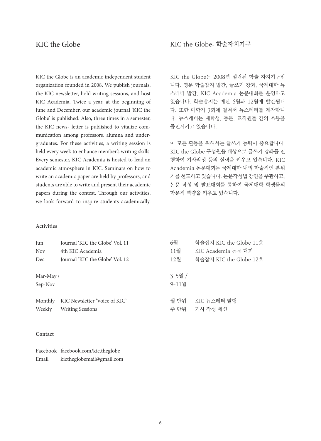# KIC the Globe

KIC the Globe is an academic independent student organization founded in 2008. We publish journals, the KIC newsletter, hold writing sessions, and host KIC Academia. Twice a year, at the beginning of June and December, our academic journal 'KIC the Globe' is published. Also, three times in a semester, the KIC news- letter is published to vitalize communication among professors, alumna and undergraduates. For these activities, a writing session is held every week to enhance member's writing skills. Every semester, KIC Academia is hosted to lead an academic atmosphere in KIC. Seminars on how to write an academic paper are held by professors, and students are able to write and present their academic papers during the contest. Through our activities, we look forward to inspire students academically.

#### **Activities**

Jun Journal 'KIC the Globe' Vol. 11 Nov 4th KIC Academia Dec Journal 'KIC the Globe' Vol. 12 Mar-May / Sep-Nov Monthly KIC Newsletter 'Voice of KIC' Weekly Writing Sessions 6월 학술잡지 KIC the Globe 11호 11월 KIC Academia 논문 대회 12월 학술잡지 KIC the Globe 12호 3-5월 / 9-11월 월 단위 KIC 뉴스레터 발행 주 단위 기사 작성 세션

#### **Contact**

|       | Facebook facebook.com/kic.theglobe |
|-------|------------------------------------|
| Email | kictheglobemail@gmail.com          |

KIC the Globe: 학술자치기구

KIC the Globe는 2008년 설립된 학술 자치기구입 니다. 영문 학술잡지 발간, 글쓰기 강좌, 국제대학 뉴 스레터 발간, KIC Academia 논문대회를 운영하고 있습니다. 학술잡지는 매년 6월과 12월에 발간됩니 다. 또한 매학기 3회에 걸쳐서 뉴스레터를 제작합니 다. 뉴스레터는 재학생, 동문, 교직원들 간의 소통을 증진시키고 있습니다.

이 모든 활동을 위해서는 글쓰기 능력이 중요합니다. KIC the Globe 구성원을 대상으로 글쓰기 강좌를 진 행하여 기사작성 등의 실력을 키우고 있습니다. KIC Academia 논문대회는 국제대학 내의 학술적인 분위 기를 선도하고 있습니다. 논문작성법 강연을 주관하고, 논문 작성 및 발표대회를 통하여 국제대학 학생들의 학문적 역량을 키우고 있습니다.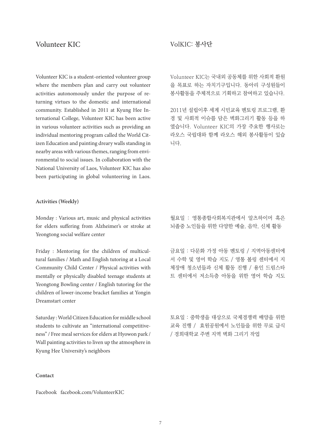Volunteer KIC is a student-oriented volunteer group where the members plan and carry out volunteer activities autonomously under the purpose of returning virtues to the domestic and international community. Established in 2011 at Kyung Hee International College, Volunteer KIC has been active in various volunteer activities such as providing an individual mentoring program called the World Citizen Education and painting dreary walls standing in nearby areas with various themes, ranging from environmental to social issues. In collaboration with the National University of Laos, Volunteer KIC has also been participating in global volunteering in Laos.

#### **Activities (Weekly)**

Monday : Various art, music and physical activities for elders suffering from Alzheimer's or stroke at Yeongtong social welfare center

Friday : Mentoring for the children of multicultural families / Math and English tutoring at a Local Community Child Center / Physical activities with mentally or physically disabled teenage students at Yeongtong Bowling center / English tutoring for the children of lower-income bracket families at Yongin Dreamstart center

Saturday : World Citizen Education for middle school students to cultivate an "international competitiveness" / Free meal services for elders at Hyowon park / Wall painting activities to liven up the atmosphere in Kyung Hee University's neighbors

#### **Contact**

Facebook facebook.com/VolunteerKIC

# Volunteer KIC VolKIC: 봉사단

Volunteer KIC는 국내외 공동체를 위한 사회적 환원 을 목표로 하는 자치기구입니다. 동아리 구성원들이 봉사활동을 주체적으로 기획하고 참여하고 있습니다.

2011년 설립이후 세계 시민교육 멘토링 프로그램, 환 경 및 사회적 이슈를 담은 벽화그리기 활동 등을 하 였습니다. Volunteer KIC의 가장 주요한 행사로는 라오스 국립대와 함께 라오스 해외 봉사활동이 있습 니다.

월요일 : 영통종합사회복지관에서 알츠하이머 혹은 뇌졸중 노인들을 위한 다양한 예술, 음악, 신체 활동

금요일 : 다문화 가정 아동 멘토링 / 지역아동센터에 서 수학 및 영어 학습 지도 / 영통 볼링 센터에서 지 체장애 청소년들과 신체 활동 진행 / 용인 드림스타 트 센터에서 저소득층 아동을 위한 영어 학습 지도

토요일 : 중학생을 대상으로 국제경쟁력 배양을 위한 교육 진행 / 효원공원에서 노인들을 위한 무료 급식 / 경희대학교 주변 지역 벽화 그리기 작업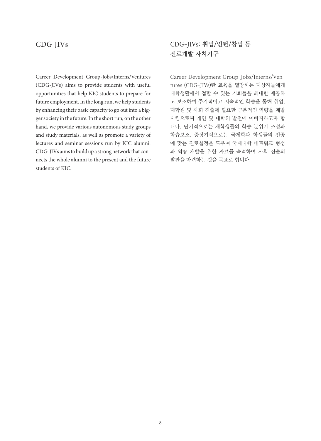# CDG-JIVs

Career Development Group-Jobs/Interns/Ventures (CDG-JIVs) aims to provide students with useful opportunities that help KIC students to prepare for future employment. In the long run, we help students by enhancing their basic capacity to go out into a bigger society in the future. In the short run, on the other hand, we provide various autonomous study groups and study materials, as well as promote a variety of lectures and seminar sessions run by KIC alumni. CDG-JIVs aims to build up a strong network that connects the whole alumni to the present and the future students of KIC.

# CDG-JIVs: 취업/인턴/창업 등 진로개발 자치기구

Career Development Group-Jobs/Interns/Ventures (CDG-JIVs)란 교육을 열망하는 대상자들에게 대학생활에서 접할 수 있는 기회들을 최대한 제공하 고 보조하여 주기적이고 지속적인 학습을 통해 취업, 대학원 및 사회 진출에 필요한 근본적인 역량을 계발 시킴으로써 개인 및 대학의 발전에 이바지하고자 합 니다. 단기적으로는 재학생들의 학습 분위기 조성과 학습보조, 중장기적으로는 국제학과 학생들의 전공 에 맞는 진로설정을 도우며 국제대학 네트워크 형성 과 역량 개발을 위한 자료를 축적하여 사회 진출의 발판을 마련하는 것을 목표로 합니다.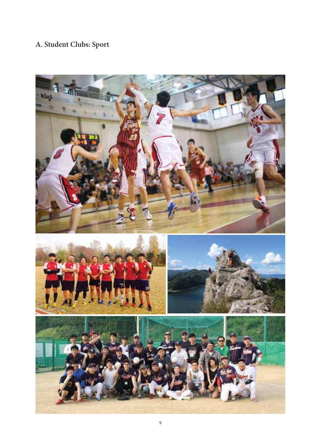# **A. Student Clubs: Sport**

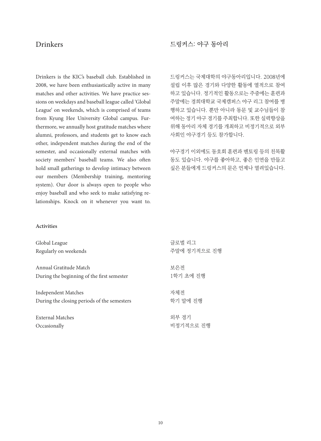# Drinkers

Drinkers is the KIC's baseball club. Established in 2008, we have been enthusiastically active in many matches and other activities. We have practice sessions on weekdays and baseball league called 'Global League' on weekends, which is comprised of teams from Kyung Hee University Global campus. Furthermore, we annually host gratitude matches where alumni, professors, and students get to know each other, independent matches during the end of the semester, and occasionally external matches with society members' baseball teams. We also often hold small gatherings to develop intimacy between our members (Membership training, mentoring system). Our door is always open to people who enjoy baseball and who seek to make satisfying relationships. Knock on it whenever you want to.

### 드링커스: 야구 동아리

드링커스는 국제대학의 야구동아리입니다. 2008년에 설립 이후 많은 경기와 다양한 활동에 열적으로 참여 하고 있습니다. 정기적인 활동으로는 주중에는 훈련과 주말에는 경희대학교 국제캠퍼스 야구 리그 참여를 병 행하고 있습니다. 뿐만 아니라 동문 및 교수님들이 참 여하는 정기 야구 경기를 주최합니다. 또한 실력향상을 위해 동아리 자체 경기를 개최하고 비정기적으로 외부 사회인 야구경기 등도 참가합니다.

야구경기 이외에도 동호회 훈련과 멘토링 등의 친목활 동도 있습니다. 야구를 좋아하고, 좋은 인연을 만들고 싶은 분들에게 드링커스의 문은 언제나 열려있습니다.

#### **Activities**

| Global League                               | 글로벌 리그       |
|---------------------------------------------|--------------|
| Regularly on weekends                       | 주말에 정기적으로 진행 |
| Annual Gratitude Match                      | 보은전          |
| During the beginning of the first semester  | 1학기 초에 진행    |
| Independent Matches                         | 자체전          |
| During the closing periods of the semesters | 학기 말에 진행     |
| External Matches                            | 외부 경기        |
| Occasionally                                | 비정기적으로 진행    |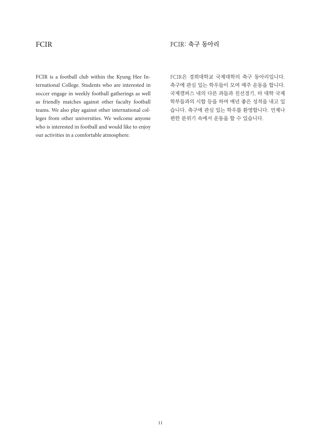# FCIR

FCIR is a football club within the Kyung Hee International College. Students who are interested in soccer engage in weekly football gatherings as well as friendly matches against other faculty football teams. We also play against other international colleges from other universities. We welcome anyone who is interested in football and would like to enjoy our activities in a comfortable atmosphere.

FCIR은 경희대학교 국제대학의 축구 동아리입니다. 축구에 관심 있는 학우들이 모여 매주 운동을 합니다. 국제캠퍼스 내의 다른 과들과 친선경기, 타 대학 국제 학부들과의 시합 등을 하며 매년 좋은 성적을 내고 있 습니다. 축구에 관심 있는 학우를 환영합니다. 언제나 편한 분위기 속에서 운동을 할 수 있습니다.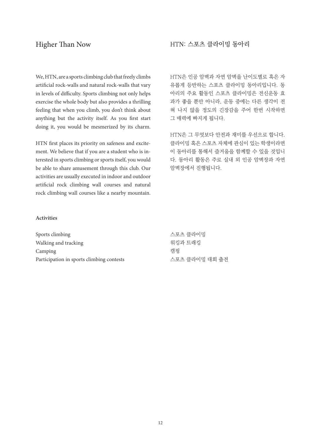# Higher Than Now

We, HTN, are a sports climbing club that freely climbs artificial rock-walls and natural rock-walls that vary in levels of difficulty. Sports climbing not only helps exercise the whole body but also provides a thrilling feeling that when you climb, you don't think about anything but the activity itself. As you first start doing it, you would be mesmerized by its charm.

HTN first places its priority on safeness and excitement. We believe that if you are a student who is interested in sports climbing or sports itself, you would be able to share amusement through this club. Our activities are usually executed in indoor and outdoor artificial rock climbing wall courses and natural rock climbing wall courses like a nearby mountain.

# HTN: 스포츠 클라이밍 동아리

HTN은 인공 암벽과 자연 암벽을 난이도별로 혹은 자 유롭게 등반하는 스포츠 클라이밍 동아리입니다. 동 아리의 주요 활동인 스포츠 클라이밍은 전신운동 효 과가 좋을 뿐만 아니라, 운동 중에는 다른 생각이 전 혀 나지 않을 정도의 긴장감을 주어 한번 시작하면 그 매력에 빠지게 됩니다.

HTN은 그 무엇보다 안전과 재미를 우선으로 합니다. 클라이밍 혹은 스포츠 자체에 관심이 있는 학생이라면 이 동아리를 통해서 즐거움을 함께할 수 있을 것입니 다. 동아리 활동은 주로 실내 외 인공 암벽장과 자연 암벽장에서 진행됩니다.

#### **Activities**

| Sports climbing                           | 스포츠 클라이밍       |
|-------------------------------------------|----------------|
| Walking and tracking                      | 워킹과 트래킹        |
| Camping                                   | 캠핑             |
| Participation in sports climbing contests | 스포츠 클라이밍 대회 출전 |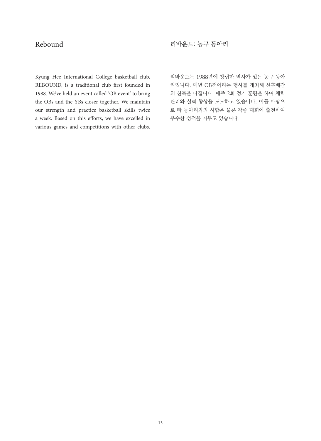# Rebound

리바운드: 농구 동아리

Kyung Hee International College basketball club, REBOUND, is a traditional club first founded in 1988. We've held an event called 'OB event' to bring the OBs and the YBs closer together. We maintain our strength and practice basketball skills twice a week. Based on this efforts, we have excelled in various games and competitions with other clubs. 리바운드는 1988년에 창립한 역사가 있는 농구 동아 리입니다. 매년 OB전이라는 행사를 개최해 선후배간 의 친목을 다집니다. 매주 2회 정기 훈련을 하여 체력 관리와 실력 향상을 도모하고 있습니다. 이를 바탕으 로 타 동아리와의 시합은 물론 각종 대회에 출전하여 우수한 성적을 거두고 있습니다.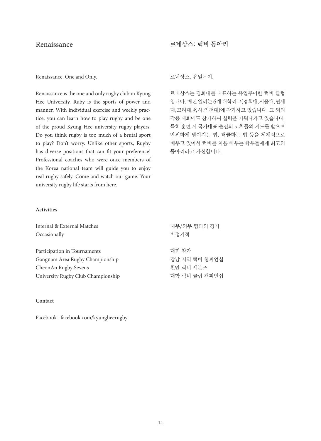# Renaissance

#### Renaissance, One and Only.

Renaissance is the one and only rugby club in Kyung Hee University. Ruby is the sports of power and manner. With individual exercise and weekly practice, you can learn how to play rugby and be one of the proud Kyung Hee university rugby players. Do you think rugby is too much of a brutal sport to play? Don't worry. Unlike other sports, Rugby has diverse positions that can fit your preference! Professional coaches who were once members of the Korea national team will guide you to enjoy real rugby safely. Come and watch our game. Your university rugby life starts from here.

### 르네상스: 럭비 동아리

르네상스, 유일무이.

르네상스는 경희대를 대표하는 유일무이한 럭비 클럽 입니다. 매년 열리는 6개 대학리그(경희대,서울대,연세 대,고려대,육사,인천대)에 참가하고 있습니다. 그 외의 각종 대회에도 참가하여 실력을 키워나가고 있습니다. 특히 훈련 시 국가대표 출신의 코치들의 지도를 받으며 안전하게 넘어지는 법, 태클하는 법 등을 체계적으로 배우고 있어서 럭비를 처음 배우는 학우들에게 최고의 동아리라고 자신합니다.

#### **Activities**

| Internal & External Matches        | 내부/외부 팀과의 경기  |
|------------------------------------|---------------|
| Occasionally                       | 비정기적          |
|                                    |               |
| Participation in Tournaments       | 대회 참가         |
| Gangnam Area Rugby Championship    | 강남 지역 러비 챔피언십 |
| CheonAn Rugby Sevens               | 처아 럭비 세븐즈     |
| University Rugby Club Championship | 대학 럭비 클럽 챔피언십 |

#### **Contact**

Facebook facebook.com/kyungheerugby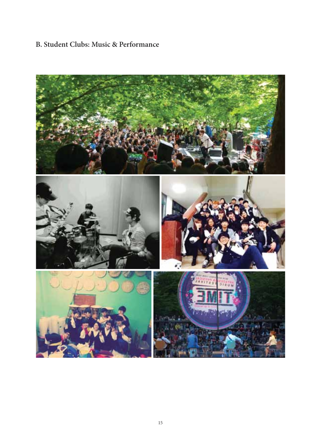# **B. Student Clubs: Music & Performance**

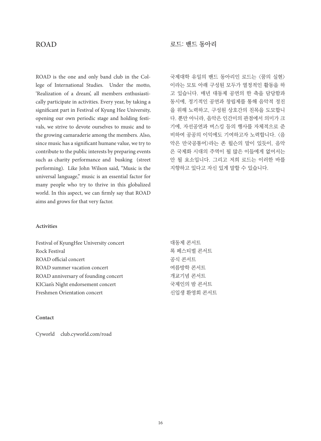# ROAD

ROAD is the one and only band club in the College of International Studies. Under the motto, 'Realization of a dream', all members enthusiastically participate in activities. Every year, by taking a significant part in Festival of Kyung Hee University, opening our own periodic stage and holding festivals, we strive to devote ourselves to music and to the growing camaraderie among the members. Also, since music has a significant humane value, we try to contribute to the public interests by preparing events such as charity performance and busking (street performing). Like John Wilson said, "Music is the universal language," music is an essential factor for many people who try to thrive in this globalized world. In this aspect, we can firmly say that ROAD aims and grows for that very factor.

### 로드: 밴드 동아리

국제대학 유일의 밴드 동아리인 로드는 <꿈의 실현> 이라는 모토 아래 구성원 모두가 열정적인 활동을 하 고 있습니다. 매년 대동제 공연의 한 축을 담당함과 동시에, 정기적인 공연과 창립제를 통해 음악적 정진 을 위해 노력하고, 구성원 상호간의 친목을 도모합니 다. 뿐만 아니라, 음악은 인간미의 관점에서 의미가 크 기에, 자선공연과 버스킹 등의 행사를 자체적으로 준 비하여 공공의 이익에도 기여하고자 노력합니다. <음 악은 만국공통어>라는 존 윌슨의 말이 있듯이, 음악 은 국제화 시대의 주역이 될 많은 이들에게 없어서는 안 될 요소입니다. 그리고 저희 로드는 이러한 바를 지향하고 있다고 자신 있게 말할 수 있습니다.

#### **Activities**

| Festival of KyungHee University concert | 대동제 콘서트     |
|-----------------------------------------|-------------|
| Rock Festival                           | 록 페스티벌 콘서트  |
| ROAD official concert                   | 공식 콘서트      |
| ROAD summer vacation concert            | 여름방학 콘서트    |
| ROAD anniversary of founding concert    | 개교기념 콘서트    |
| KICian's Night endorsement concert      | 국제인의 밤 콘서트  |
| Freshmen Orientation concert            | 신입생 환영회 콘서트 |

#### **Contact**

Cyworld club.cyworld.com/road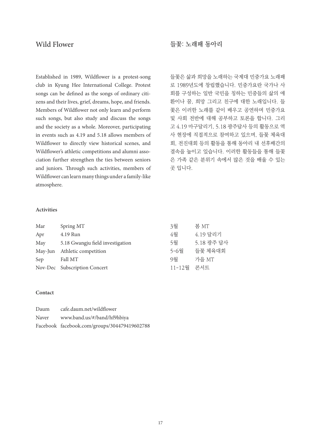# Wild Flower

Established in 1989, Wildflower is a protest-song club in Kyung Hee International College. Protest songs can be defined as the songs of ordinary citizens and their lives, grief, dreams, hope, and friends. Members of Wildflower not only learn and perform such songs, but also study and discuss the songs and the society as a whole. Moreover, participating in events such as 4.19 and 5.18 allows members of Wildflower to directly view historical scenes, and Wildflower's athletic competitions and alumni association further strengthen the ties between seniors and juniors. Through such activities, members of Wildflower can learn many things under a family-like atmosphere.

# 들꽃: 노래패 동아리

들꽃은 삶과 희망을 노래하는 국제대 민중가요 노래패 로 1989년도에 창립했습니다. 민중가요란 국가나 사 회를 구성하는 일반 국민을 칭하는 민중들의 삶의 애 환이나 꿈, 희망 그리고 친구에 대한 노래입니다. 들 꽃은 이러한 노래를 같이 배우고 공연하며 민중가요 및 사회 전반에 대해 공부하고 토론을 합니다. 그리 고 4.19 마구달리기, 5.18 광주답사 등의 활동으로 역 사 현장에 직접적으로 참여하고 있으며, 들꽃 체육대 회, 전진대회 등의 활동을 통해 동아리 내 선후배간의 결속을 높이고 있습니다. 이러한 활동들을 통해 들꽃 은 가족 같은 분위기 속에서 많은 것을 배울 수 있는 곳 입니다.

#### **Activities**

| Mar     | Spring MT                        | 3월     | 봄 MT       |
|---------|----------------------------------|--------|------------|
| Apr     | 4.19 Run                         | 4월     | 4.19 달리기   |
| May     | 5.18 Gwangju field investigation | 5월     | 5.18 광주 답사 |
| May-Jun | Athletic competition             | 5-6월   | 들꽃 체육대회    |
| Sep     | Fall MT                          | 9월     | 가을 MT      |
|         | Nov-Dec Subscription Concert     | 11-12월 | 콘서트        |

#### **Contact**

| Daum  | cafe.daum.net/wildflower                     |
|-------|----------------------------------------------|
| Naver | www.band.us/#/band/hf9hbiya                  |
|       | Facebook facebook.com/groups/304479419602788 |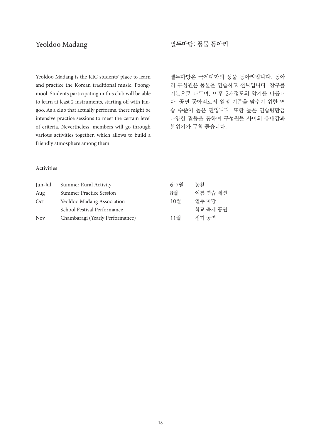# Yeoldoo Madang

Yeoldoo Madang is the KIC students' place to learn and practice the Korean traditional music, Poongmool. Students participating in this club will be able to learn at least 2 instruments, starting off with Jangoo. As a club that actually performs, there might be intensive practice sessions to meet the certain level of criteria. Nevertheless, members will go through various activities together, which allows to build a friendly atmosphere among them.

# 열두마당: 풍물 동아리

열두마당은 국제대학의 풍물 동아리입니다. 동아 리 구성원은 풍물을 연습하고 선보입니다. 장구를 기본으로 다루며, 이후 2개정도의 악기를 다룹니 다. 공연 동아리로서 일정 기준을 맞추기 위한 연 습 수준이 높은 편입니다. 또한 높은 연습량만큼 다양한 활동을 통하여 구성원들 사이의 유대감과 분위기가 무척 좋습니다.

#### **Activities**

| Jun-Jul    | Summer Rural Activity           | $6 - 7$ 월 | 농활       |
|------------|---------------------------------|-----------|----------|
| Aug        | <b>Summer Practice Session</b>  | 8월        | 여름 연습 세셔 |
| Oct        | Yeoldoo Madang Association      | 10월       | 열두 마당    |
|            | School Festival Performance     |           | 학교 축제 공연 |
| <b>Nov</b> | Chambaragi (Yearly Performance) | 11월       | 정기 공연    |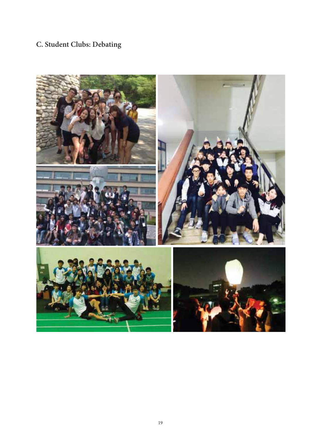# **C. Student Clubs: Debating**

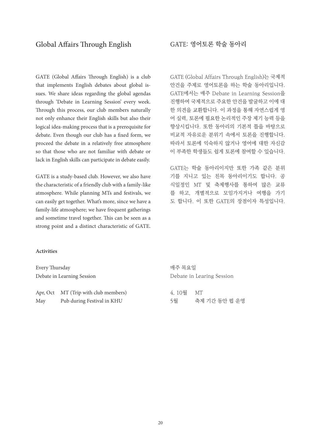GATE (Global Affairs Through English) is a club that implements English debates about global issues. We share ideas regarding the global agendas through 'Debate in Learning Session' every week. Through this process, our club members naturally not only enhance their English skills but also their logical idea-making process that is a prerequisite for debate. Even though our club has a fixed form, we proceed the debate in a relatively free atmosphere so that those who are not familiar with debate or lack in English skills can participate in debate easily.

GATE is a study-based club. However, we also have the characteristic of a friendly club with a family-like atmosphere. While planning MTs and festivals, we can easily get together. What's more, since we have a family-life atmosphere; we have frequent gatherings and sometime travel together. This can be seen as a strong point and a distinct characteristic of GATE.

GATE (Global Affairs Through English)는 국제적 안건을 주제로 영어토론을 하는 학술 동아리입니다. GATE에서는 매주 Debate in Learning Session을 진행하여 국제적으로 주요한 안건을 발굴하고 이에 대 한 의견을 교환합니다. 이 과정을 통해 자연스럽게 영 어 실력, 토론에 필요한 논리적인 주장 제기 능력 등을 향상시킵니다. 또한 동아리의 기본적 틀을 바탕으로 비교적 자유로운 분위기 속에서 토론을 진행합니다. 따라서 토론에 익숙하지 않거나 영어에 대한 자신감 이 부족한 학생들도 쉽게 토론에 참여할 수 있습니다.

GATE는 학술 동아리이지만 또한 가족 같은 분위 기를 지니고 있는 친목 동아리이기도 합니다. 공 식일정인 MT 및 축제행사를 통하여 많은 교류 를 하고, 개별적으로 모임가지거나 여행을 가기 도 합니다. 이 또한 GATE의 장점이자 특성입니다.

#### **Activities**

| Every Thursday |                                      | 매주 목요일 |                           |
|----------------|--------------------------------------|--------|---------------------------|
|                | Debate in Learning Session           |        | Debate in Learing Session |
|                | Apr, Oct MT (Trip with club members) | 4.10월  | MT                        |
| May            | Pub during Festival in KHU           | 5월     | 축제 기가 동안 펍 운영             |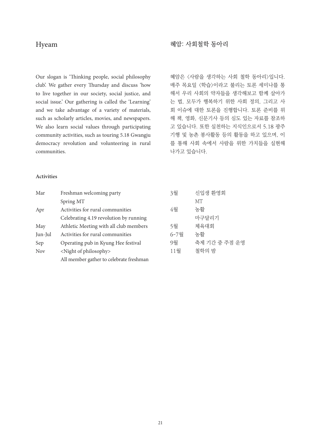# Hyeam

Our slogan is 'Thinking people, social philosophy club'. We gather every Thursday and discuss 'how to live together in our society, social justice, and social issue.' Our gathering is called the 'Learning' and we take advantage of a variety of materials, such as scholarly articles, movies, and newspapers. We also learn social values through participating community activities, such as touring 5.18 Gwangju democracy revolution and volunteering in rural communities.

### 혜암: 사회철학 동아리

혜암은 <사람을 생각하는 사회 철학 동아리>입니다. 매주 목요일 <학습>이라고 불리는 토론 세미나를 통 해서 우리 사회의 약자들을 생각해보고 함께 살아가 는 법, 모두가 행복하기 위한 사회 정의, 그리고 사 회 이슈에 대한 토론을 진행합니다. 토론 준비를 위 해 책, 영화, 신문기사 등의 심도 있는 자료를 참조하 고 있습니다. 또한 실천하는 지식인으로서 5.18 광주 기행 및 농촌 봉사활동 등의 활동을 하고 있으며, 이 를 통해 사회 속에서 사람을 위한 가치들을 실현해 나가고 있습니다.

#### **Activities**

| Mar        | Freshman welcoming party                | 3월   | 신입생 환영회       |
|------------|-----------------------------------------|------|---------------|
|            | Spring MT                               |      | MТ            |
| Apr        | Activities for rural communities        | 4월   | 농활            |
|            | Celebrating 4.19 revolution by running  |      | 마구달리기         |
| May        | Athletic Meeting with all club members  | 5월   | 체육대회          |
| Jun-Jul    | Activities for rural communities        | 6-7월 | 농활            |
| Sep        | Operating pub in Kyung Hee festival     | 9월   | 축제 기가 중 주점 운영 |
| <b>Nov</b> | <night of="" philosophy=""></night>     | 11월  | 철학의 밤         |
|            | All member gather to celebrate freshman |      |               |
|            |                                         |      |               |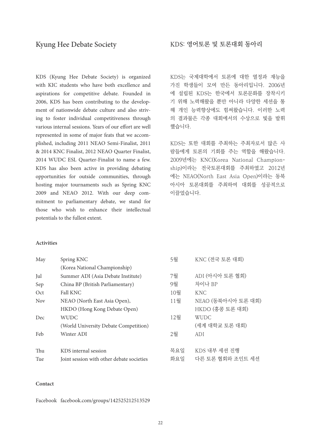KDS (Kyung Hee Debate Society) is organized with KIC students who have both excellence and aspirations for competitive debate. Founded in 2006, KDS has been contributing to the development of nationwide debate culture and also striving to foster individual competitiveness through various internal sessions. Years of our effort are well represented in some of major feats that we accomplished, including 2011 NEAO Semi-Finalist, 2011 & 2014 KNC Finalist, 2012 NEAO Quarter Finalist, 2014 WUDC ESL Quarter-Finalist to name a few. KDS has also been active in providing debating opportunities for outside communities, through hosting major tournaments such as Spring KNC 2009 and NEAO 2012. With our deep commitment to parliamentary debate, we stand for those who wish to enhance their intellectual potentials to the fullest extent.

KDS는 국제대학에서 토론에 대한 열정과 재능을 가진 학생들이 모여 만든 동아리입니다. 2006년 에 설립된 KDS는 한국에서 토론문화를 장착시키 기 위해 노력해왔을 뿐만 아니라 다양한 세션을 통 해 개인 능력향상에도 힘써왔습니다. 이러한 노력 의 결과물은 각종 대회에서의 수상으로 빛을 발휘 했습니다.

KDS는 또한 대회를 주최하는 주최자로서 많은 사 람들에게 토론의 기회를 주는 역할을 해왔습니다. 2009년에는 KNC(Korea National Championship)이라는 전국토론대회를 주최하였고 2012년 에는 NEAO(North East Asia Open)이라는 동북 아시아 토론대회를 주최하여 대회를 성공적으로 이끌었습니다.

#### **Activities**

| May        | Spring KNC                                | 5월  | KNC (전국 토론 대회)     |
|------------|-------------------------------------------|-----|--------------------|
|            | (Korea National Championship)             |     |                    |
| Jul        | Summer ADI (Asia Debate Institute)        | 7월  | ADI (아시아 토론 협회)    |
| Sep        | China BP (British Parliamentary)          | 9월  | 차이나 BP             |
| Oct        | <b>Fall KNC</b>                           | 10월 | <b>KNC</b>         |
| <b>Nov</b> | NEAO (North East Asia Open),              | 11월 | NEAO (동북아시아 토론 대회) |
|            | HKDO (Hong Kong Debate Open)              |     | HKDO (홍콩 토론 대회)    |
| Dec        | <b>WUDC</b>                               | 12월 | <b>WUDC</b>        |
|            | (World University Debate Competition)     |     | (세계 대학교 토론 대회)     |
| Feb        | Winter ADI                                | 2월  | ADI                |
| Thu        | KDS internal session                      | 목요일 | KDS 내부 세션 진행       |
| Tue        | Joint session with other debate societies | 화요일 | 다른 토론 협회와 조인트 세셔   |

#### **Contact**

Facebook facebook.com/groups/142525212513529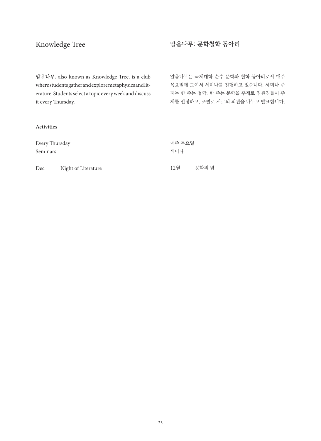# Knowledge Tree

# 알음나무: 문학철학 동아리

알음나무는 국제대학 순수 문학과 철학 동아리로서 매주 목요일에 모여서 세미나를 진행하고 있습니다. 세미나 주 제는 한 주는 철학, 한 주는 문학을 주제로 임원진들이 주 제를 선정하고, 조별로 서로의 의견을 나누고 발표합니다.

알음나무, also known as Knowledge Tree, is a club where students gather and explore metaphysics and literature. Students select a topic every week and discuss it every Thursday.

#### **Activities**

| Every Thursday<br>Seminars |                     | 세미나 | 매주 목요일 |  |
|----------------------------|---------------------|-----|--------|--|
| Dec                        | Night of Literature | 12월 | 무학의 밤  |  |

23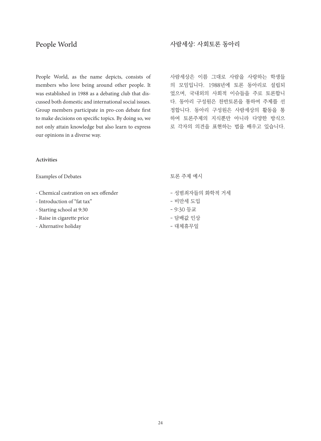# People World

People World, as the name depicts, consists of members who love being around other people. It was established in 1988 as a debating club that discussed both domestic and international social issues. Group members participate in pro-con debate first to make decisions on specific topics. By doing so, we not only attain knowledge but also learn to express our opinions in a diverse way.

# 사람세상: 사회토론 동아리

사람세상은 이름 그대로 사람을 사랑하는 학생들 의 모임입니다. 1988년에 토론 동아리로 설립되 었으며, 국내외의 사회적 이슈들을 주로 토론합니 다. 동아리 구성원은 찬반토론을 통하여 주제를 선 정합니다. 동아리 구성원은 사람세상의 활동을 통 하여 토론주제의 지식뿐만 아니라 다양한 방식으 로 각자의 의견을 표현하는 법을 배우고 있습니다.

#### **Activities**

Examples of Debates

- Chemical castration on sex offender
- Introduction of "fat tax"
- Starting school at 9:30
- Raise in cigarette price
- Alternative holiday

토론 주제 예시

- 성범죄자들의 화학적 거세
- 비만세 도입
- 9:30 등교
- 담배값 인상
- 대체휴무일